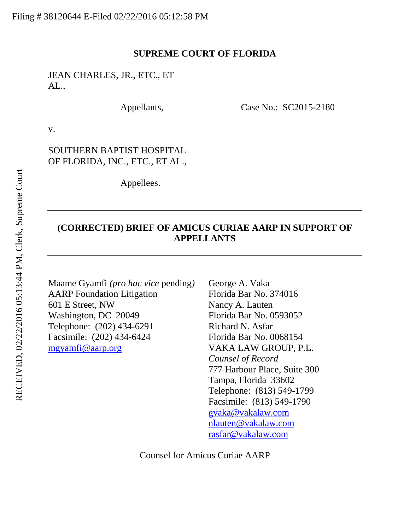## **SUPREME COURT OF FLORIDA**

JEAN CHARLES, JR., ETC., ET AL.,

Appellants, Case No.: SC2015-2180

v.

SOUTHERN BAPTIST HOSPITAL OF FLORIDA, INC., ETC., ET AL.,

Appellees.

# **(CORRECTED) BRIEF OF AMICUS CURIAE AARP IN SUPPORT OF APPELLANTS**

Maame Gyamfi *(pro hac vice* pending*)* AARP Foundation Litigation 601 E Street, NW Washington, DC 20049 Telephone: (202) 434-6291 Facsimile: (202) 434-6424 [mgyamfi@aarp.org](mailto:mgyamfi@aarp.org)

George A. Vaka Florida Bar No. 374016 Nancy A. Lauten Florida Bar No. 0593052 Richard N. Asfar Florida Bar No. 0068154 VAKA LAW GROUP, P.L. *Counsel of Record* 777 Harbour Place, Suite 300 Tampa, Florida 33602 Telephone: (813) 549-1799 Facsimile: (813) 549-1790 [gvaka@vakalaw.com](mailto:gvaka@vakalaw.com) nlauten@vakalaw.com [rasfar@vakalaw.com](mailto:rasfar@vakalaw.com)

Counsel for Amicus Curiae AARP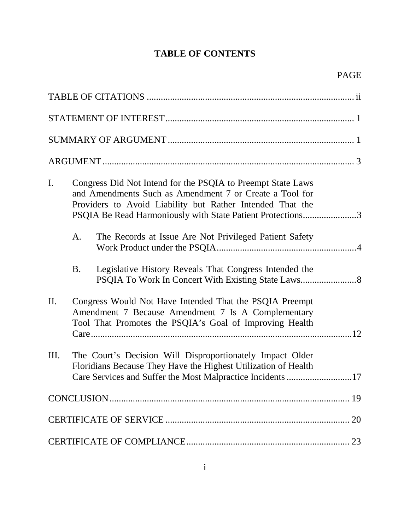# **TABLE OF CONTENTS**

| I.  |           | Congress Did Not Intend for the PSQIA to Preempt State Laws<br>and Amendments Such as Amendment 7 or Create a Tool for<br>Providers to Avoid Liability but Rather Intended That the<br>PSQIA Be Read Harmoniously with State Patient Protections3 |  |
|-----|-----------|---------------------------------------------------------------------------------------------------------------------------------------------------------------------------------------------------------------------------------------------------|--|
|     | A.        | The Records at Issue Are Not Privileged Patient Safety                                                                                                                                                                                            |  |
|     | <b>B.</b> | Legislative History Reveals That Congress Intended the                                                                                                                                                                                            |  |
| II. |           | Congress Would Not Have Intended That the PSQIA Preempt<br>Amendment 7 Because Amendment 7 Is A Complementary<br>Tool That Promotes the PSQIA's Goal of Improving Health                                                                          |  |
| Ш.  |           | The Court's Decision Will Disproportionately Impact Older<br>Floridians Because They Have the Highest Utilization of Health<br>Care Services and Suffer the Most Malpractice Incidents 17                                                         |  |
|     |           |                                                                                                                                                                                                                                                   |  |
|     |           |                                                                                                                                                                                                                                                   |  |
|     |           |                                                                                                                                                                                                                                                   |  |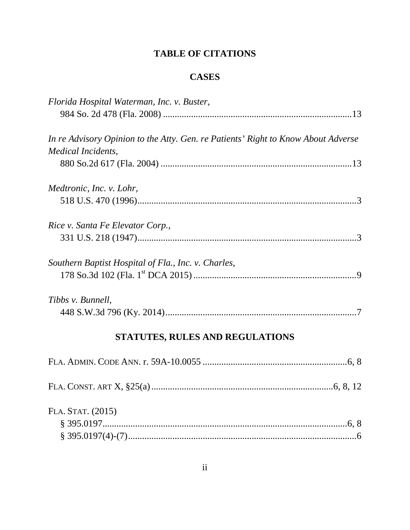# **TABLE OF CITATIONS**

# **CASES**

| Florida Hospital Waterman, Inc. v. Buster,                                        |  |
|-----------------------------------------------------------------------------------|--|
|                                                                                   |  |
| In re Advisory Opinion to the Atty. Gen. re Patients' Right to Know About Adverse |  |
| Medical Incidents,                                                                |  |
|                                                                                   |  |
| Medtronic, Inc. v. Lohr,                                                          |  |
|                                                                                   |  |
| Rice v. Santa Fe Elevator Corp.,                                                  |  |
|                                                                                   |  |
| Southern Baptist Hospital of Fla., Inc. v. Charles,                               |  |
|                                                                                   |  |
| Tibbs v. Bunnell,                                                                 |  |
|                                                                                   |  |
| STATUTES, RULES AND REGULATIONS                                                   |  |
|                                                                                   |  |
|                                                                                   |  |
| FLA. STAT. (2015)                                                                 |  |
|                                                                                   |  |
|                                                                                   |  |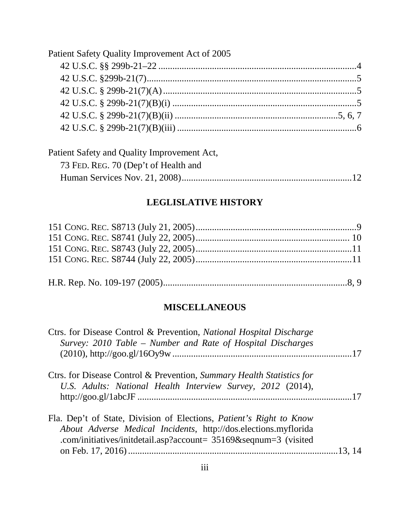| Patient Safety Quality Improvement Act of 2005 |  |
|------------------------------------------------|--|
|                                                |  |
|                                                |  |
|                                                |  |
|                                                |  |
|                                                |  |
|                                                |  |

| Patient Safety and Quality Improvement Act, |  |
|---------------------------------------------|--|
| 73 FED. REG. 70 (Dep't of Health and        |  |
|                                             |  |

# **LEGLISLATIVE HISTORY**

|--|--|--|--|

# **MISCELLANEOUS**

| Ctrs. for Disease Control & Prevention, National Hospital Discharge<br>Survey: 2010 Table – Number and Rate of Hospital Discharges                                                                               |  |
|------------------------------------------------------------------------------------------------------------------------------------------------------------------------------------------------------------------|--|
| Ctrs. for Disease Control & Prevention, Summary Health Statistics for<br>U.S. Adults: National Health Interview Survey, 2012 (2014),                                                                             |  |
| Fla. Dep't of State, Division of Elections, <i>Patient's Right to Know</i><br>About Adverse Medical Incidents, http://dos.elections.myflorida<br>.com/initiatives/initextil.asp?account= 35169&seqnum=3 (visited |  |
|                                                                                                                                                                                                                  |  |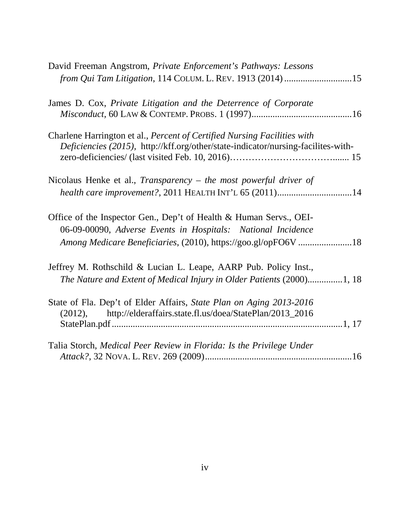| David Freeman Angstrom, Private Enforcement's Pathways: Lessons                                                                                                                                      |  |
|------------------------------------------------------------------------------------------------------------------------------------------------------------------------------------------------------|--|
| from Qui Tam Litigation, 114 COLUM. L. REV. 1913 (2014) 15                                                                                                                                           |  |
| James D. Cox, Private Litigation and the Deterrence of Corporate                                                                                                                                     |  |
| Charlene Harrington et al., Percent of Certified Nursing Facilities with<br>Deficiencies (2015), http://kff.org/other/state-indicator/nursing-facilites-with-                                        |  |
| Nicolaus Henke et al., Transparency – the most powerful driver of<br>health care improvement?, 2011 HEALTH INT'L 65 (2011)14                                                                         |  |
| Office of the Inspector Gen., Dep't of Health & Human Servs., OEI-<br>06-09-00090, Adverse Events in Hospitals: National Incidence<br>Among Medicare Beneficiaries, (2010), https://goo.gl/opFO6V 18 |  |
| Jeffrey M. Rothschild & Lucian L. Leape, AARP Pub. Policy Inst.,<br>The Nature and Extent of Medical Injury in Older Patients (2000)1, 18                                                            |  |
| State of Fla. Dep't of Elder Affairs, State Plan on Aging 2013-2016<br>http://elderaffairs.state.fl.us/doea/StatePlan/2013_2016<br>(2012),                                                           |  |
| Talia Storch, Medical Peer Review in Florida: Is the Privilege Under                                                                                                                                 |  |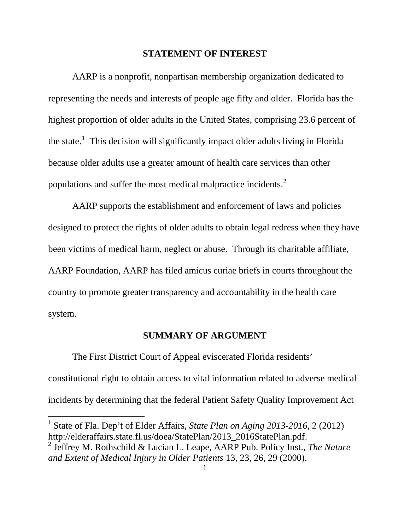#### **STATEMENT OF INTEREST**

AARP is a nonprofit, nonpartisan membership organization dedicated to representing the needs and interests of people age fifty and older. Florida has the highest proportion of older adults in the United States, comprising 23.6 percent of the state.<sup>[1](#page-5-0)</sup> This decision will significantly impact older adults living in Florida because older adults use a greater amount of health care services than other populations and suffer the most medical malpractice incidents. $<sup>2</sup>$  $<sup>2</sup>$  $<sup>2</sup>$ </sup>

AARP supports the establishment and enforcement of laws and policies designed to protect the rights of older adults to obtain legal redress when they have been victims of medical harm, neglect or abuse. Through its charitable affiliate, AARP Foundation, AARP has filed amicus curiae briefs in courts throughout the country to promote greater transparency and accountability in the health care system.

## **SUMMARY OF ARGUMENT**

The First District Court of Appeal eviscerated Florida residents' constitutional right to obtain access to vital information related to adverse medical incidents by determining that the federal Patient Safety Quality Improvement Act

<span id="page-5-0"></span> <sup>1</sup> State of Fla. Dep't of Elder Affairs, *State Plan on Aging 2013-2016,* 2 (2012) [http://elderaffairs.state.fl.us/doea/StatePlan/2013\\_2016StatePlan.pdf.](http://elderaffairs.state.fl.us/doea/StatePlan/2013_2016StatePlan.pdf) <sup>2</sup> Jeffrey M. Rothschild & Lucian L. Leape, AARP Pub. Policy Inst., *The Nature* 

<span id="page-5-1"></span>*and Extent of Medical Injury in Older Patients* 13, 23, 26, 29 (2000).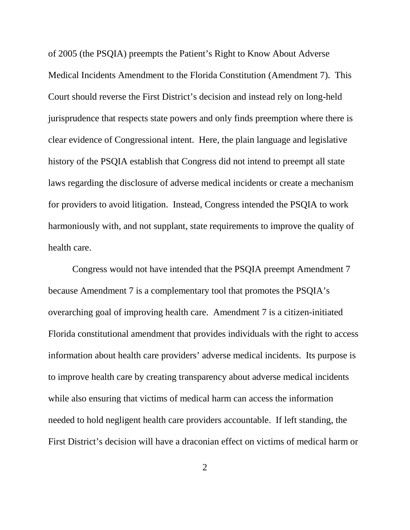of 2005 (the PSQIA) preempts the Patient's Right to Know About Adverse Medical Incidents Amendment to the Florida Constitution (Amendment 7). This Court should reverse the First District's decision and instead rely on long-held jurisprudence that respects state powers and only finds preemption where there is clear evidence of Congressional intent. Here, the plain language and legislative history of the PSQIA establish that Congress did not intend to preempt all state laws regarding the disclosure of adverse medical incidents or create a mechanism for providers to avoid litigation. Instead, Congress intended the PSQIA to work harmoniously with, and not supplant, state requirements to improve the quality of health care.

Congress would not have intended that the PSQIA preempt Amendment 7 because Amendment 7 is a complementary tool that promotes the PSQIA's overarching goal of improving health care. Amendment 7 is a citizen-initiated Florida constitutional amendment that provides individuals with the right to access information about health care providers' adverse medical incidents. Its purpose is to improve health care by creating transparency about adverse medical incidents while also ensuring that victims of medical harm can access the information needed to hold negligent health care providers accountable. If left standing, the First District's decision will have a draconian effect on victims of medical harm or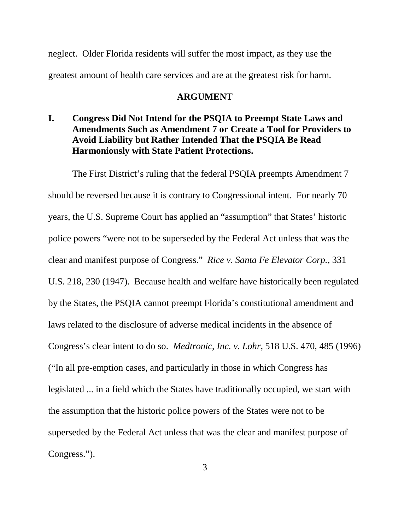neglect. Older Florida residents will suffer the most impact, as they use the greatest amount of health care services and are at the greatest risk for harm.

### **ARGUMENT**

**I. Congress Did Not Intend for the PSQIA to Preempt State Laws and Amendments Such as Amendment 7 or Create a Tool for Providers to Avoid Liability but Rather Intended That the PSQIA Be Read Harmoniously with State Patient Protections.**

The First District's ruling that the federal PSQIA preempts Amendment 7 should be reversed because it is contrary to Congressional intent. For nearly 70 years, the U.S. Supreme Court has applied an "assumption" that States' historic police powers "were not to be superseded by the Federal Act unless that was the clear and manifest purpose of Congress." *Rice v. Santa Fe Elevator Corp.*, 331 U.S. 218, 230 (1947). Because health and welfare have historically been regulated by the States, the PSQIA cannot preempt Florida's constitutional amendment and laws related to the disclosure of adverse medical incidents in the absence of Congress's clear intent to do so. *Medtronic, Inc. v. Lohr*, 518 U.S. 470, 485 (1996) ("In all pre-emption cases, and particularly in those in which Congress has legislated ... in a field which the States have traditionally occupied, we start with the assumption that the historic police powers of the States were not to be superseded by the Federal Act unless that was the clear and manifest purpose of Congress.").

3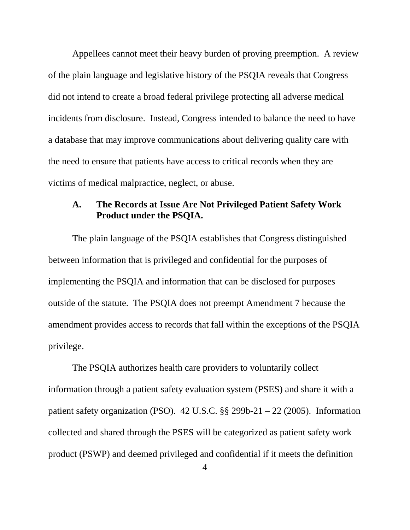Appellees cannot meet their heavy burden of proving preemption. A review of the plain language and legislative history of the PSQIA reveals that Congress did not intend to create a broad federal privilege protecting all adverse medical incidents from disclosure. Instead, Congress intended to balance the need to have a database that may improve communications about delivering quality care with the need to ensure that patients have access to critical records when they are victims of medical malpractice, neglect, or abuse.

# **A. The Records at Issue Are Not Privileged Patient Safety Work Product under the PSQIA.**

The plain language of the PSQIA establishes that Congress distinguished between information that is privileged and confidential for the purposes of implementing the PSQIA and information that can be disclosed for purposes outside of the statute. The PSQIA does not preempt Amendment 7 because the amendment provides access to records that fall within the exceptions of the PSQIA privilege.

The PSQIA authorizes health care providers to voluntarily collect information through a patient safety evaluation system (PSES) and share it with a patient safety organization (PSO). 42 U.S.C. §§ 299b-21 – 22 (2005). Information collected and shared through the PSES will be categorized as patient safety work product (PSWP) and deemed privileged and confidential if it meets the definition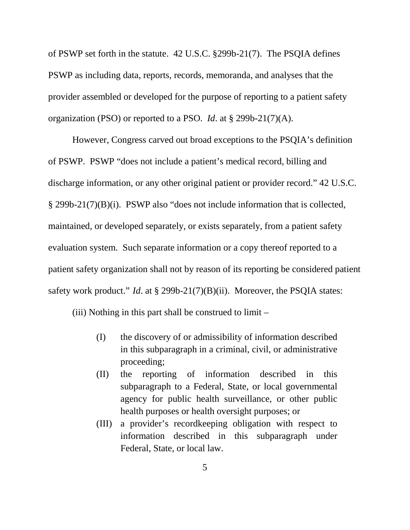of PSWP set forth in the statute. 42 U.S.C. §299b-21(7). The PSQIA defines PSWP as including data, reports, records, memoranda, and analyses that the provider assembled or developed for the purpose of reporting to a patient safety organization (PSO) or reported to a PSO. *Id*. at § 299b-21(7)(A).

However, Congress carved out broad exceptions to the PSQIA's definition of PSWP. PSWP "does not include a patient's medical record, billing and discharge information, or any other original patient or provider record." 42 U.S.C. § 299b-21(7)(B)(i). PSWP also "does not include information that is collected, maintained, or developed separately, or exists separately, from a patient safety evaluation system. Such separate information or a copy thereof reported to a patient safety organization shall not by reason of its reporting be considered patient safety work product." *Id*. at § 299b-21(7)(B)(ii). Moreover, the PSQIA states:

(iii) Nothing in this part shall be construed to limit –

- (I) the discovery of or admissibility of information described in this subparagraph in a criminal, civil, or administrative proceeding;
- (II) the reporting of information described in this subparagraph to a Federal, State, or local governmental agency for public health surveillance, or other public health purposes or health oversight purposes; or
- (III) a provider's recordkeeping obligation with respect to information described in this subparagraph under Federal, State, or local law.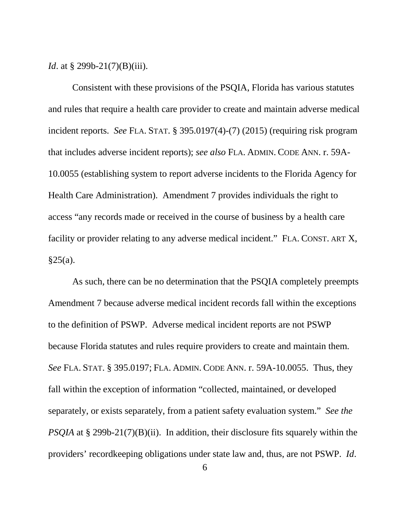*Id.* at § 299b-21(7)(B)(iii).

Consistent with these provisions of the PSQIA, Florida has various statutes and rules that require a health care provider to create and maintain adverse medical incident reports. *See* FLA. STAT. § 395.0197(4)-(7) (2015) (requiring risk program that includes adverse incident reports); *see also* FLA. ADMIN. CODE ANN. r. 59A-10.0055 (establishing system to report adverse incidents to the Florida Agency for Health Care Administration). Amendment 7 provides individuals the right to access "any records made or received in the course of business by a health care facility or provider relating to any adverse medical incident." FLA. CONST. ART X,  $§25(a).$ 

As such, there can be no determination that the PSQIA completely preempts Amendment 7 because adverse medical incident records fall within the exceptions to the definition of PSWP. Adverse medical incident reports are not PSWP because Florida statutes and rules require providers to create and maintain them. *See* FLA. STAT. § 395.0197; FLA. ADMIN. CODE ANN. r. 59A-10.0055. Thus, they fall within the exception of information "collected, maintained, or developed separately, or exists separately, from a patient safety evaluation system." *See the PSQIA* at § 299b-21(7)(B)(ii). In addition, their disclosure fits squarely within the providers' recordkeeping obligations under state law and, thus, are not PSWP. *Id*.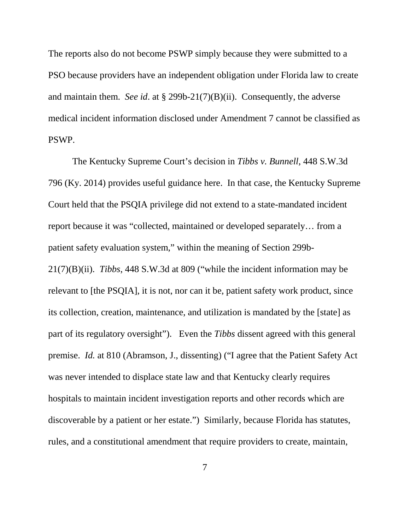The reports also do not become PSWP simply because they were submitted to a PSO because providers have an independent obligation under Florida law to create and maintain them. *See id*. at § 299b-21(7)(B)(ii). Consequently, the adverse medical incident information disclosed under Amendment 7 cannot be classified as PSWP.

The Kentucky Supreme Court's decision in *Tibbs v. Bunnell*, 448 S.W.3d 796 (Ky. 2014) provides useful guidance here. In that case, the Kentucky Supreme Court held that the PSQIA privilege did not extend to a state-mandated incident report because it was "collected, maintained or developed separately… from a patient safety evaluation system," within the meaning of Section 299b-21(7)(B)(ii). *Tibbs*, 448 S.W.3d at 809 ("while the incident information may be relevant to [the PSQIA], it is not, nor can it be, patient safety work product, since its collection, creation, maintenance, and utilization is mandated by the [state] as part of its regulatory oversight"). Even the *Tibbs* dissent agreed with this general premise. *Id.* at 810 (Abramson, J., dissenting) ("I agree that the Patient Safety Act was never intended to displace state law and that Kentucky clearly requires hospitals to maintain incident investigation reports and other records which are discoverable by a patient or her estate.") Similarly, because Florida has statutes, rules, and a constitutional amendment that require providers to create, maintain,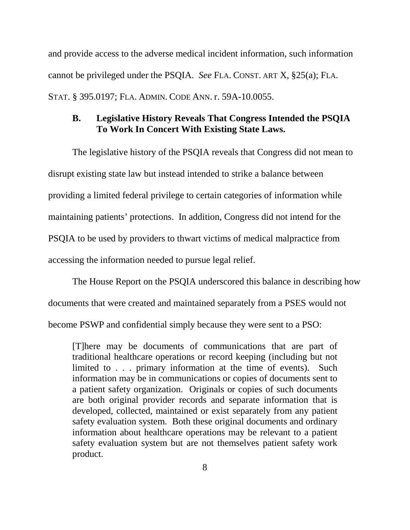and provide access to the adverse medical incident information, such information cannot be privileged under the PSQIA. *See* FLA. CONST. ART X, §25(a); FLA. STAT. § 395.0197; FLA. ADMIN. CODE ANN. r. 59A-10.0055.

## **B. Legislative History Reveals That Congress Intended the PSQIA To Work In Concert With Existing State Laws.**

The legislative history of the PSQIA reveals that Congress did not mean to disrupt existing state law but instead intended to strike a balance between providing a limited federal privilege to certain categories of information while maintaining patients' protections. In addition, Congress did not intend for the PSQIA to be used by providers to thwart victims of medical malpractice from accessing the information needed to pursue legal relief.

The House Report on the PSQIA underscored this balance in describing how documents that were created and maintained separately from a PSES would not become PSWP and confidential simply because they were sent to a PSO:

[T]here may be documents of communications that are part of traditional healthcare operations or record keeping (including but not limited to . . . primary information at the time of events). Such information may be in communications or copies of documents sent to a patient safety organization. Originals or copies of such documents are both original provider records and separate information that is developed, collected, maintained or exist separately from any patient safety evaluation system. Both these original documents and ordinary information about healthcare operations may be relevant to a patient safety evaluation system but are not themselves patient safety work product.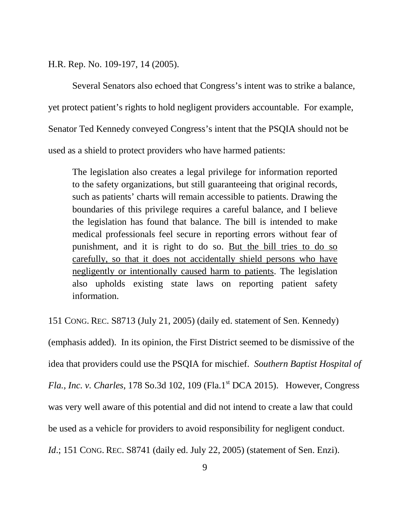H.R. Rep. No. 109-197, 14 (2005).

Several Senators also echoed that Congress's intent was to strike a balance, yet protect patient's rights to hold negligent providers accountable. For example, Senator Ted Kennedy conveyed Congress's intent that the PSQIA should not be used as a shield to protect providers who have harmed patients:

The legislation also creates a legal privilege for information reported to the safety organizations, but still guaranteeing that original records, such as patients' charts will remain accessible to patients. Drawing the boundaries of this privilege requires a careful balance, and I believe the legislation has found that balance. The bill is intended to make medical professionals feel secure in reporting errors without fear of punishment, and it is right to do so. But the bill tries to do so carefully, so that it does not accidentally shield persons who have negligently or intentionally caused harm to patients. The legislation also upholds existing state laws on reporting patient safety information.

151 CONG. REC. S8713 (July 21, 2005) (daily ed. statement of Sen. Kennedy)

(emphasis added). In its opinion, the First District seemed to be dismissive of the idea that providers could use the PSQIA for mischief. *Southern Baptist Hospital of Fla., Inc. v. Charles*, 178 So.3d 102, 109 (Fla.1<sup>st</sup> DCA 2015). However, Congress was very well aware of this potential and did not intend to create a law that could be used as a vehicle for providers to avoid responsibility for negligent conduct. *Id.*; 151 CONG. REC. S8741 (daily ed. July 22, 2005) (statement of Sen. Enzi).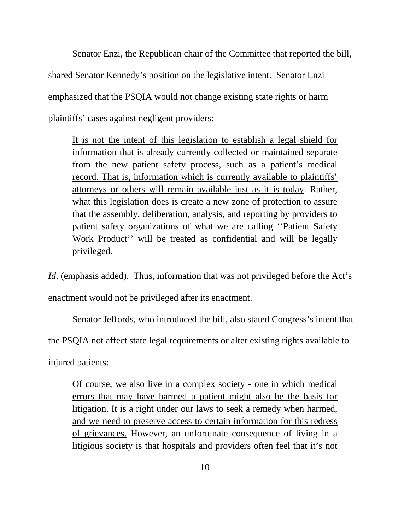Senator Enzi, the Republican chair of the Committee that reported the bill, shared Senator Kennedy's position on the legislative intent. Senator Enzi emphasized that the PSQIA would not change existing state rights or harm plaintiffs' cases against negligent providers:

It is not the intent of this legislation to establish a legal shield for information that is already currently collected or maintained separate from the new patient safety process, such as a patient's medical record. That is, information which is currently available to plaintiffs' attorneys or others will remain available just as it is today. Rather, what this legislation does is create a new zone of protection to assure that the assembly, deliberation, analysis, and reporting by providers to patient safety organizations of what we are calling ''Patient Safety Work Product'' will be treated as confidential and will be legally privileged.

*Id.* (emphasis added). Thus, information that was not privileged before the Act's

enactment would not be privileged after its enactment.

Senator Jeffords, who introduced the bill, also stated Congress's intent that

the PSQIA not affect state legal requirements or alter existing rights available to

injured patients:

Of course, we also live in a complex society - one in which medical errors that may have harmed a patient might also be the basis for litigation. It is a right under our laws to seek a remedy when harmed, and we need to preserve access to certain information for this redress of grievances. However, an unfortunate consequence of living in a litigious society is that hospitals and providers often feel that it's not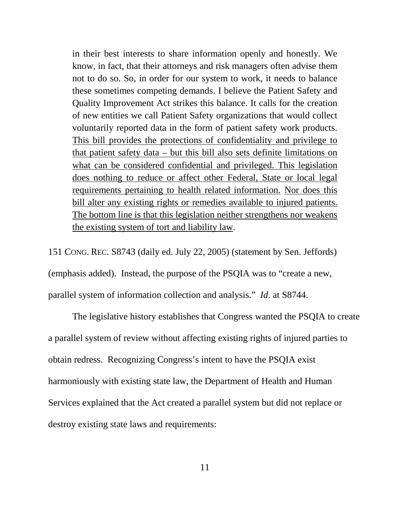in their best interests to share information openly and honestly. We know, in fact, that their attorneys and risk managers often advise them not to do so. So, in order for our system to work, it needs to balance these sometimes competing demands. I believe the Patient Safety and Quality Improvement Act strikes this balance. It calls for the creation of new entities we call Patient Safety organizations that would collect voluntarily reported data in the form of patient safety work products. This bill provides the protections of confidentiality and privilege to that patient safety data – but this bill also sets definite limitations on what can be considered confidential and privileged. This legislation does nothing to reduce or affect other Federal, State or local legal requirements pertaining to health related information. Nor does this bill alter any existing rights or remedies available to injured patients. The bottom line is that this legislation neither strengthens nor weakens the existing system of tort and liability law.

151 CONG. REC. S8743 (daily ed. July 22, 2005) (statement by Sen. Jeffords) (emphasis added). Instead, the purpose of the PSQIA was to "create a new, parallel system of information collection and analysis." *Id*. at S8744.

The legislative history establishes that Congress wanted the PSQIA to create a parallel system of review without affecting existing rights of injured parties to obtain redress. Recognizing Congress's intent to have the PSQIA exist harmoniously with existing state law, the Department of Health and Human Services explained that the Act created a parallel system but did not replace or destroy existing state laws and requirements: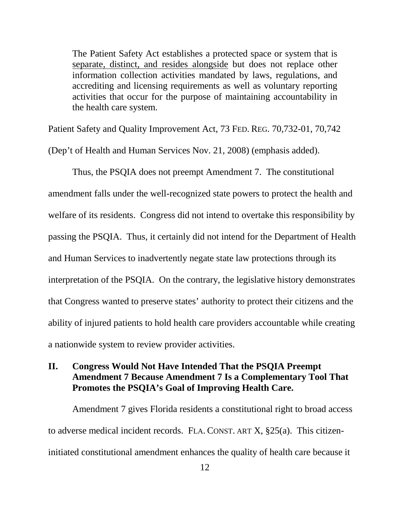The Patient Safety Act establishes a protected space or system that is separate, distinct, and resides alongside but does not replace other information collection activities mandated by laws, regulations, and accrediting and licensing requirements as well as voluntary reporting activities that occur for the purpose of maintaining accountability in the health care system.

Patient Safety and Quality Improvement Act, 73 FED. REG. 70,732-01, 70,742

(Dep't of Health and Human Services Nov. 21, 2008) (emphasis added).

Thus, the PSQIA does not preempt Amendment 7. The constitutional amendment falls under the well-recognized state powers to protect the health and welfare of its residents. Congress did not intend to overtake this responsibility by passing the PSQIA. Thus, it certainly did not intend for the Department of Health and Human Services to inadvertently negate state law protections through its interpretation of the PSQIA. On the contrary, the legislative history demonstrates that Congress wanted to preserve states' authority to protect their citizens and the ability of injured patients to hold health care providers accountable while creating a nationwide system to review provider activities.

# **II. Congress Would Not Have Intended That the PSQIA Preempt Amendment 7 Because Amendment 7 Is a Complementary Tool That Promotes the PSQIA's Goal of Improving Health Care.**

Amendment 7 gives Florida residents a constitutional right to broad access to adverse medical incident records. FLA. CONST. ART X, §25(a). This citizeninitiated constitutional amendment enhances the quality of health care because it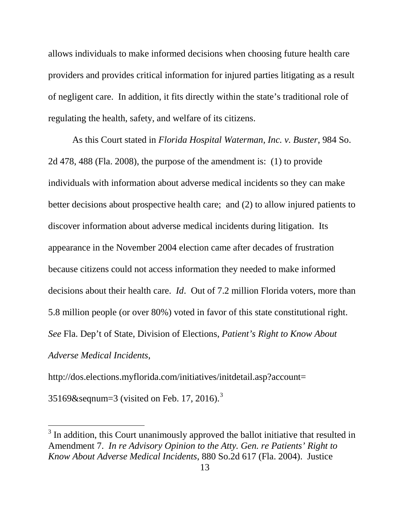allows individuals to make informed decisions when choosing future health care providers and provides critical information for injured parties litigating as a result of negligent care. In addition, it fits directly within the state's traditional role of regulating the health, safety, and welfare of its citizens.

As this Court stated in *Florida Hospital Waterman, Inc. v. Buster*, 984 So. 2d 478, 488 (Fla. 2008), the purpose of the amendment is: (1) to provide individuals with information about adverse medical incidents so they can make better decisions about prospective health care; and (2) to allow injured patients to discover information about adverse medical incidents during litigation. Its appearance in the November 2004 election came after decades of frustration because citizens could not access information they needed to make informed decisions about their health care. *Id*. Out of 7.2 million Florida voters, more than 5.8 million people (or over 80%) voted in favor of this state constitutional right. *See* Fla. Dep't of State, Division of Elections, *Patient's Right to Know About Adverse Medical Incidents*,

http://dos.elections.myflorida.com/initiatives/initdetail.asp?account=

[3](#page-20-0)5169&seqnum=3 (visited on Feb. 17, 2016).<sup>3</sup>

<sup>&</sup>lt;sup>3</sup> In addition, this Court unanimously approved the ballot initiative that resulted in Amendment 7. *In re Advisory Opinion to the Atty. Gen. re Patients' Right to Know About Adverse Medical Incidents*, 880 So.2d 617 (Fla. 2004). Justice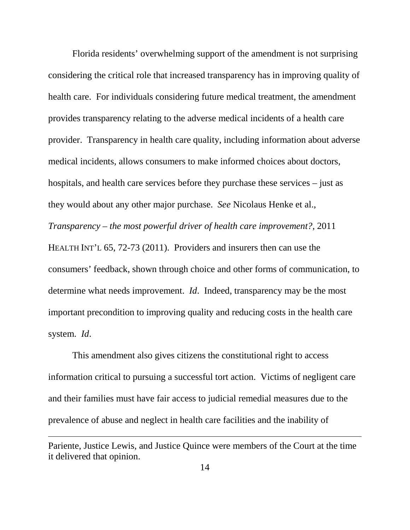Florida residents' overwhelming support of the amendment is not surprising considering the critical role that increased transparency has in improving quality of health care. For individuals considering future medical treatment, the amendment provides transparency relating to the adverse medical incidents of a health care provider. Transparency in health care quality, including information about adverse medical incidents, allows consumers to make informed choices about doctors, hospitals, and health care services before they purchase these services – just as they would about any other major purchase. *See* Nicolaus Henke et al., *Transparency – the most powerful driver of health care improvement?,* 2011 HEALTH INT'L 65, 72-73 (2011). Providers and insurers then can use the consumers' feedback, shown through choice and other forms of communication, to determine what needs improvement. *Id*. Indeed, transparency may be the most important precondition to improving quality and reducing costs in the health care system. *Id*.

This amendment also gives citizens the constitutional right to access information critical to pursuing a successful tort action. Victims of negligent care and their families must have fair access to judicial remedial measures due to the prevalence of abuse and neglect in health care facilities and the inability of

 $\overline{a}$ 

Pariente, Justice Lewis, and Justice Quince were members of the Court at the time it delivered that opinion.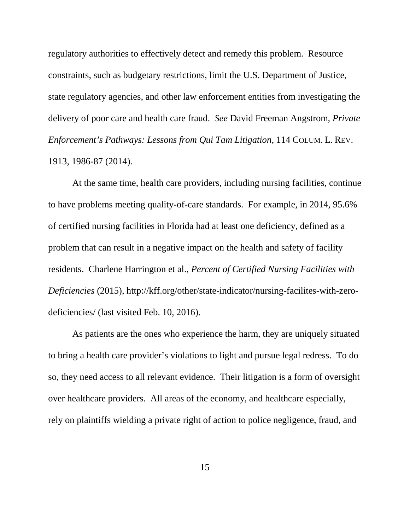regulatory authorities to effectively detect and remedy this problem. Resource constraints, such as budgetary restrictions, limit the U.S. Department of Justice, state regulatory agencies, and other law enforcement entities from investigating the delivery of poor care and health care fraud. *See* David Freeman Angstrom, *Private Enforcement's Pathways: Lessons from Qui Tam Litigation*, 114 COLUM. L. REV. 1913, 1986-87 (2014).

At the same time, health care providers, including nursing facilities, continue to have problems meeting quality-of-care standards. For example, in 2014, 95.6% of certified nursing facilities in Florida had at least one deficiency, defined as a problem that can result in a negative impact on the health and safety of facility residents. Charlene Harrington et al., *Percent of Certified Nursing Facilities with Deficiencies* (2015), http://kff.org/other/state-indicator/nursing-facilites-with-zerodeficiencies/ (last visited Feb. 10, 2016).

As patients are the ones who experience the harm, they are uniquely situated to bring a health care provider's violations to light and pursue legal redress. To do so, they need access to all relevant evidence. Their litigation is a form of oversight over healthcare providers. All areas of the economy, and healthcare especially, rely on plaintiffs wielding a private right of action to police negligence, fraud, and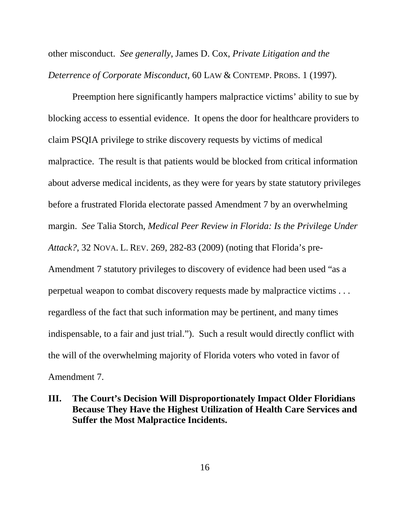other misconduct. *See generally*, James D. Cox, *Private Litigation and the Deterrence of Corporate Misconduct,* 60 LAW & CONTEMP. PROBS. 1 (1997)*.*

Preemption here significantly hampers malpractice victims' ability to sue by blocking access to essential evidence. It opens the door for healthcare providers to claim PSQIA privilege to strike discovery requests by victims of medical malpractice. The result is that patients would be blocked from critical information about adverse medical incidents, as they were for years by state statutory privileges before a frustrated Florida electorate passed Amendment 7 by an overwhelming margin. *See* Talia Storch, *Medical Peer Review in Florida: Is the Privilege Under Attack?,* 32 NOVA. L. REV. 269, 282-83 (2009) (noting that Florida's pre-Amendment 7 statutory privileges to discovery of evidence had been used "as a perpetual weapon to combat discovery requests made by malpractice victims . . . regardless of the fact that such information may be pertinent, and many times indispensable, to a fair and just trial."). Such a result would directly conflict with the will of the overwhelming majority of Florida voters who voted in favor of Amendment 7.

# <span id="page-20-0"></span>**III. The Court's Decision Will Disproportionately Impact Older Floridians Because They Have the Highest Utilization of Health Care Services and Suffer the Most Malpractice Incidents.**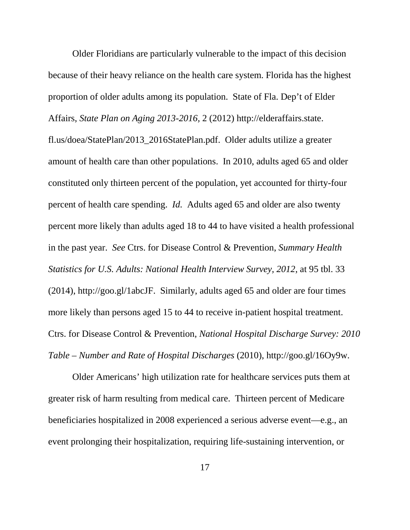Older Floridians are particularly vulnerable to the impact of this decision because of their heavy reliance on the health care system. Florida has the highest proportion of older adults among its population. State of Fla. Dep't of Elder Affairs, *State Plan on Aging 2013-2016,* 2 (2012) http://elderaffairs.state. fl.us/doea/StatePlan/2013\_2016StatePlan.pdf. Older adults utilize a greater amount of health care than other populations. In 2010, adults aged 65 and older constituted only thirteen percent of the population, yet accounted for thirty-four percent of health care spending. *Id.* Adults aged 65 and older are also twenty percent more likely than adults aged 18 to 44 to have visited a health professional in the past year. *See* Ctrs. for Disease Control & Prevention, *Summary Health Statistics for U.S. Adults: National Health Interview Survey, 2012*, at 95 tbl. 33 (2014), http://goo.gl/1abcJF. Similarly, adults aged 65 and older are four times more likely than persons aged 15 to 44 to receive in-patient hospital treatment. Ctrs. for Disease Control & Prevention, *National Hospital Discharge Survey: 2010 Table – Number and Rate of Hospital Discharges* (2010), http://goo.gl/16Oy9w.

Older Americans' high utilization rate for healthcare services puts them at greater risk of harm resulting from medical care. Thirteen percent of Medicare beneficiaries hospitalized in 2008 experienced a serious adverse event—e.g., an event prolonging their hospitalization, requiring life-sustaining intervention, or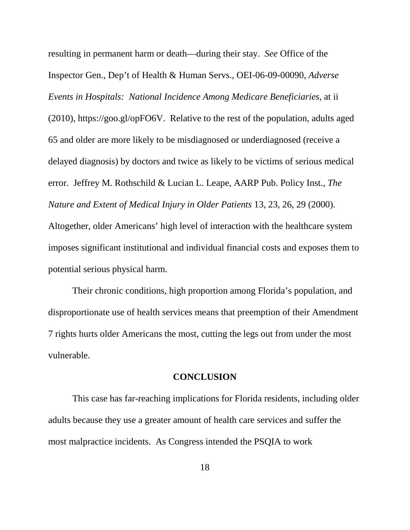resulting in permanent harm or death—during their stay. *See* Office of the Inspector Gen., Dep't of Health & Human Servs., OEI-06-09-00090, *Adverse Events in Hospitals: National Incidence Among Medicare Beneficiaries*, at ii (2010), https://goo.gl/opFO6V. Relative to the rest of the population, adults aged 65 and older are more likely to be misdiagnosed or underdiagnosed (receive a delayed diagnosis) by doctors and twice as likely to be victims of serious medical error. Jeffrey M. Rothschild & Lucian L. Leape, AARP Pub. Policy Inst., *The Nature and Extent of Medical Injury in Older Patients* 13, 23, 26, 29 (2000). Altogether, older Americans' high level of interaction with the healthcare system imposes significant institutional and individual financial costs and exposes them to potential serious physical harm.

Their chronic conditions, high proportion among Florida's population, and disproportionate use of health services means that preemption of their Amendment 7 rights hurts older Americans the most, cutting the legs out from under the most vulnerable.

#### **CONCLUSION**

This case has far-reaching implications for Florida residents, including older adults because they use a greater amount of health care services and suffer the most malpractice incidents. As Congress intended the PSQIA to work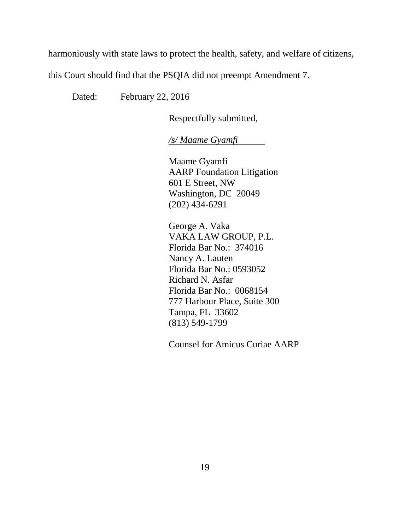harmoniously with state laws to protect the health, safety, and welfare of citizens,

this Court should find that the PSQIA did not preempt Amendment 7.

Dated: February 22, 2016

Respectfully submitted,

*/s/ Maame Gyamfi*

Maame Gyamfi AARP Foundation Litigation 601 E Street, NW Washington, DC 20049 (202) 434-6291

George A. Vaka VAKA LAW GROUP, P.L. Florida Bar No.: 374016 Nancy A. Lauten Florida Bar No.: 0593052 Richard N. Asfar Florida Bar No.: 0068154 777 Harbour Place, Suite 300 Tampa, FL 33602 (813) 549-1799

Counsel for Amicus Curiae AARP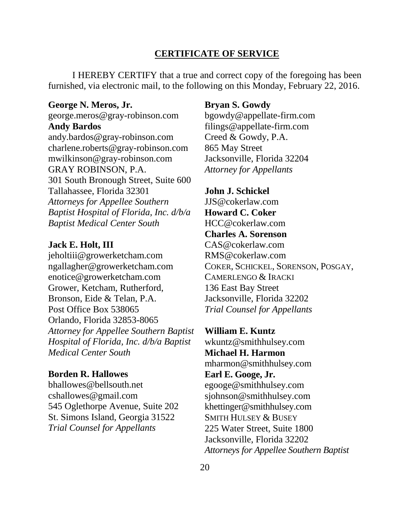## **CERTIFICATE OF SERVICE**

I HEREBY CERTIFY that a true and correct copy of the foregoing has been furnished, via electronic mail, to the following on this Monday, February 22, 2016.

#### **George N. Meros, Jr.**

george.meros@gray-robinson.com **Andy Bardos** andy.bardos@gray-robinson.com charlene.roberts@gray-robinson.com mwilkinson@gray-robinson.com GRAY ROBINSON, P.A. 301 South Bronough Street, Suite 600 Tallahassee, Florida 32301 *Attorneys for Appellee Southern Baptist Hospital of Florida, Inc. d/b/a Baptist Medical Center South*

#### **Jack E. Holt, III**

jeholtiii@growerketcham.com ngallagher@growerketcham.com enotice@growerketcham.com Grower, Ketcham, Rutherford, Bronson, Eide & Telan, P.A. Post Office Box 538065 Orlando, Florida 32853-8065 *Attorney for Appellee Southern Baptist Hospital of Florida, Inc. d/b/a Baptist Medical Center South*

## **Borden R. Hallowes**

bhallowes@bellsouth.net cshallowes@gmail.com 545 Oglethorpe Avenue, Suite 202 St. Simons Island, Georgia 31522 *Trial Counsel for Appellants*

#### **Bryan S. Gowdy**

[bgowdy@appellate-firm.com](mailto:bgowdy@appellate-firm.com) [filings@appellate-firm.com](mailto:filings@appellate-firm.com) Creed & Gowdy, P.A. 865 May Street Jacksonville, Florida 32204 *Attorney for Appellants*

**John J. Schickel** JJS@cokerlaw.com **Howard C. Coker** HCC@cokerlaw.com **Charles A. Sorenson** CAS@cokerlaw.com RMS@cokerlaw.com COKER, SCHICKEL, SORENSON, POSGAY, CAMERLENGO & IRACKI 136 East Bay Street Jacksonville, Florida 32202 *Trial Counsel for Appellants*

**William E. Kuntz** [wkuntz@smithhulsey.com](mailto:wkuntz@smithhulsey.com) **Michael H. Harmon** [mharmon@smithhulsey.com](mailto:mharmon@smithhulsey.com) **Earl E. Googe, Jr.** [egooge@smithhulsey.com](mailto:egooge@smithhulsey.com) [sjohnson@smithhulsey.com](mailto:sjohnson@smithhulsey.com) [khettinger@smithhulsey.com](mailto:khettinger@smithhulsey.com) SMITH HULSEY & BUSEY 225 Water Street, Suite 1800 Jacksonville, Florida 32202 *Attorneys for Appellee Southern Baptist*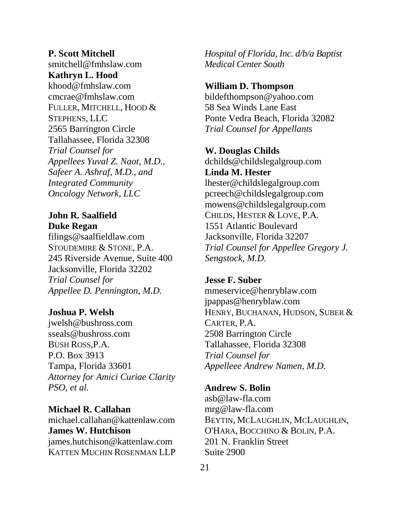**P. Scott Mitchell** smitchell@fmhslaw.com **Kathryn L. Hood** khood@fmhslaw.com cmcrae@fmhslaw.com FULLER, MITCHELL, HOOD & STEPHENS, LLC 2565 Barrington Circle Tallahassee, Florida 32308 *Trial Counsel for Appellees Yuval Z. Naot, M.D., Safeer A. Ashraf, M.D., and Integrated Community Oncology Network, LLC*

# **John R. Saalfield Duke Regan**

filings@saalfieldlaw.com STOUDEMIRE & STONE, P.A. 245 Riverside Avenue, Suite 400 Jacksonville, Florida 32202 *Trial Counsel for Appellee D. Pennington, M.D.*

## **Joshua P. Welsh**

jwelsh@bushross.com sseals@bushross.com BUSH ROSS,P.A. P.O. Box 3913 Tampa, Florida 33601 *Attorney for Amici Curiae Clarity PSO, et al.*

### **Michael R. Callahan**

michael.callahan@kattenlaw.com **James W. Hutchison** james.hutchison@kattenlaw.com KATTEN MUCHIN ROSENMAN LLP *Hospital of Florida, Inc. d/b/a Baptist Medical Center South*

#### **William D. Thompson**

bildefthompson@yahoo.com 58 Sea Winds Lane East Ponte Vedra Beach, Florida 32082 *Trial Counsel for Appellants*

#### **W. Douglas Childs**

dchilds@childslegalgroup.com **Linda M. Hester** lhester@childslegalgroup.com pcreech@childslegalgroup.com mowens@childslegalgroup.com CHILDS, HESTER & LOVE, P.A. 1551 Atlantic Boulevard Jacksonville, Florida 32207 *Trial Counsel for Appellee Gregory J. Sengstock, M.D.*

### **Jesse F. Suber**

mmeservice@henryblaw.com jpappas@henryblaw.com HENRY, BUCHANAN, HUDSON, SUBER & CARTER, P.A. 2508 Barrington Circle Tallahassee, Florida 32308 *Trial Counsel for Appelleee Andrew Namen, M.D.*

### **Andrew S. Bolin**

asb@law-fla.com mrg@law-fla.com BEYTIN, MCLAUGHLIN, MCLAUGHLIN, O'HARA, BOCCHINO & BOLIN, P.A. 201 N. Franklin Street Suite 2900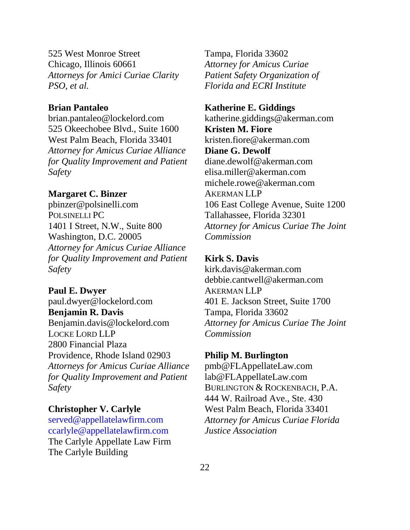525 West Monroe Street Chicago, Illinois 60661 *Attorneys for Amici Curiae Clarity PSO, et al.*

## **Brian Pantaleo**

brian.pantaleo@lockelord.com 525 Okeechobee Blvd., Suite 1600 West Palm Beach, Florida 33401 *Attorney for Amicus Curiae Alliance for Quality Improvement and Patient Safety*

#### **Margaret C. Binzer**

pbinzer@polsinelli.com POLSINELLI PC 1401 I Street, N.W., Suite 800 Washington, D.C. 20005 *Attorney for Amicus Curiae Alliance for Quality Improvement and Patient Safety*

**Paul E. Dwyer** paul.dwyer@lockelord.com **Benjamin R. Davis** Benjamin.davis@lockelord.com LOCKE LORD LLP 2800 Financial Plaza Providence, Rhode Island 02903 *Attorneys for Amicus Curiae Alliance for Quality Improvement and Patient Safety*

# **Christopher V. Carlyle**

[served@appellatelawfirm.com](mailto:served@appellatelawfirm.com) [ccarlyle@appellatelawfirm.com](mailto:ccarlyle@appellatelawfirm.com) The Carlyle Appellate Law Firm The Carlyle Building

Tampa, Florida 33602 *Attorney for Amicus Curiae Patient Safety Organization of Florida and ECRI Institute*

#### **Katherine E. Giddings**

katherine.giddings@akerman.com **Kristen M. Fiore** kristen.fiore@akerman.com **Diane G. Dewolf** diane.dewolf@akerman.com elisa.miller@akerman.com michele.rowe@akerman.com AKERMAN LLP 106 East College Avenue, Suite 1200 Tallahassee, Florida 32301 *Attorney for Amicus Curiae The Joint Commission*

## **Kirk S. Davis**

kirk.davis@akerman.com debbie.cantwell@akerman.com AKERMAN LLP 401 E. Jackson Street, Suite 1700 Tampa, Florida 33602 *Attorney for Amicus Curiae The Joint Commission*

#### **Philip M. Burlington**

pmb@FLAppellateLaw.com lab@FLAppellateLaw.com BURLINGTON & ROCKENBACH, P.A. 444 W. Railroad Ave., Ste. 430 West Palm Beach, Florida 33401 *Attorney for Amicus Curiae Florida Justice Association*